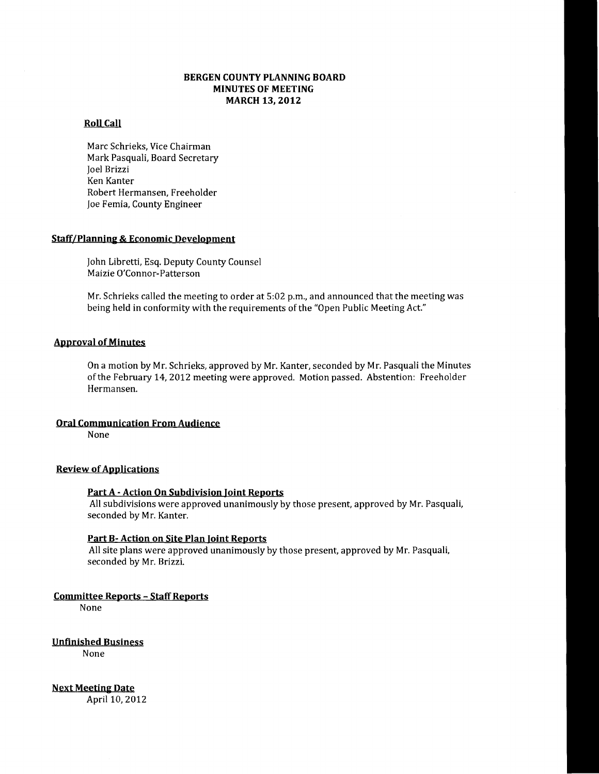# **BERGEN COUNTY PLANNING BOARD MINUTES OF MEETING MARCH 13,2012**

# **Roll Call**

Marc Schrieks, Vice Chairman Mark Pasquali, Board Secretary Joel Brizzi Ken Kanter Robert Hermansen, Freeholder Joe Femia, County Engineer

# **Staff/Planning & Economic Development**

John Libretti, Esq. Deputy County Counsel Maizie O'Connor-Patterson

Mr. Schrieks called the meeting to order at 5:02 p.m., and announced that the meeting was being held in conformity with the requirements of the "Open Public Meeting Act."

### **Approval of Minutes**

On a motion by Mr. Schrieks, approved by Mr. Kanter, seconded by Mr. Pasquali the Minutes of the February 14, 2012 meeting were approved. Motion passed. Abstention: Freeholder Hermansen.

#### **Oral Communication From Audience**

None

# **Review of Applications**

#### **Part A - Action On Subdivision Joint Reports**

All subdivisions were approved unanimously by those present, approved by Mr. Pasquali, seconded by Mr. Kanter.

## **Part B- Action on Site Plan Joint Reports**

All site plans were approved unanimously by those present, approved by Mr. Pasquali, seconded by Mr. Brizzi.

# **Committee Reports - Staff Reports**

None

**Unfinished Business** 

None

**Next Meeting Date**  April 10, 2012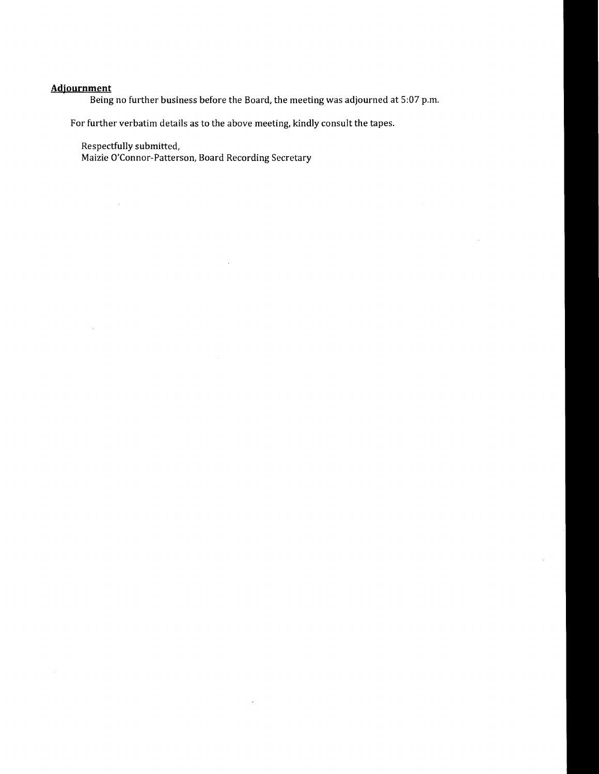# **Adjournment**

Being no further business before the Board, the meeting was adjourned at 5:07 p.m.

 $\bar{\bar{z}}$ 

 $\bar{z}$ 

For further verbatim details as to the above meeting, kindly consult the tapes.

Respectfully submitted,

 $\sim$   $\sim$ 

 $\sim$ 

Maizie O'Connor-Patterson, Board Recording Secretary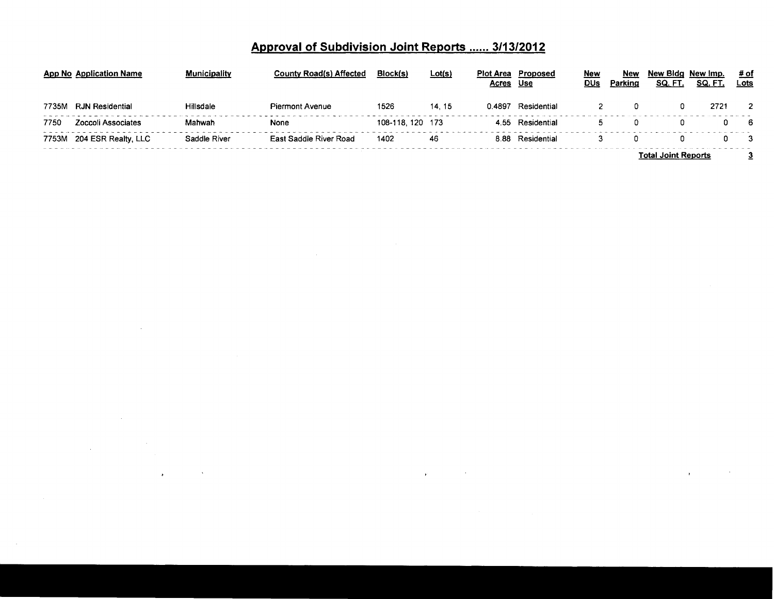# **Approval of Subdivision Joint Reports ...... 3/13/2012**

|       | App No Application Name | <b>Municipality</b> | <b>County Road(s) Affected</b> | Block(s)        | <u>Lot(s)</u> | <b>Acres</b> | <b>Plot Area</b> Proposed<br>Use | New<br>DUs | New<br>Parking | New Bida New Imp.<br>SQ. FT. | SQ. FT. | # of<br><u>Lots</u> |
|-------|-------------------------|---------------------|--------------------------------|-----------------|---------------|--------------|----------------------------------|------------|----------------|------------------------------|---------|---------------------|
| 7735M | <b>RJN Residential</b>  | <b>Hillsdale</b>    | Piermont Avenue                | 1526            | 14, 15        | 0.4897       | Residential                      |            |                |                              | 2721    |                     |
| 7750  | Zoccoli Associates      | Mahwah              | None                           | 108-118.120 173 |               |              | 4.55 Residential                 |            |                |                              |         | - 6                 |
| 7753M | 204 ESR Realty, LLC     | Saddle River        | East Saddle River Road         | 1402            | 46            |              | 8.88 Residential                 |            |                |                              |         |                     |
|       |                         |                     |                                |                 |               |              |                                  |            |                | <b>Total Joint Reports</b>   |         |                     |

 $\label{eq:R1} \mathbf{y} = \mathbf{y} + \mathbf{y} + \mathbf{y} + \mathbf{y}$ 

 $\sim 10^{11}$  km  $^{-1}$ 

 $\mathbf{r}$ 

 $\sim 10^{11}$  km s  $^{-1}$ 

 $\sim$ 

 $\mathcal{L}^{\mathcal{L}}(\mathcal{L}^{\mathcal{L}}(\mathcal{L}^{\mathcal{L}}(\mathcal{L}^{\mathcal{L}}(\mathcal{L}^{\mathcal{L}}(\mathcal{L}^{\mathcal{L}}(\mathcal{L}^{\mathcal{L}}(\mathcal{L}^{\mathcal{L}}(\mathcal{L}^{\mathcal{L}}(\mathcal{L}^{\mathcal{L}}(\mathcal{L}^{\mathcal{L}}(\mathcal{L}^{\mathcal{L}}(\mathcal{L}^{\mathcal{L}}(\mathcal{L}^{\mathcal{L}}(\mathcal{L}^{\mathcal{L}}(\mathcal{L}^{\mathcal{L}}(\mathcal{L}^{\mathcal{L$ 

 $\label{eq:2.1} \frac{1}{\sqrt{2\pi}}\int_{\mathbb{R}^3} \frac{1}{\sqrt{2\pi}}\int_{\mathbb{R}^3} \frac{1}{\sqrt{2\pi}}\int_{\mathbb{R}^3} \frac{1}{\sqrt{2\pi}}\int_{\mathbb{R}^3} \frac{1}{\sqrt{2\pi}}\int_{\mathbb{R}^3} \frac{1}{\sqrt{2\pi}}\int_{\mathbb{R}^3} \frac{1}{\sqrt{2\pi}}\int_{\mathbb{R}^3} \frac{1}{\sqrt{2\pi}}\int_{\mathbb{R}^3} \frac{1}{\sqrt{2\pi}}\int_{\mathbb{$